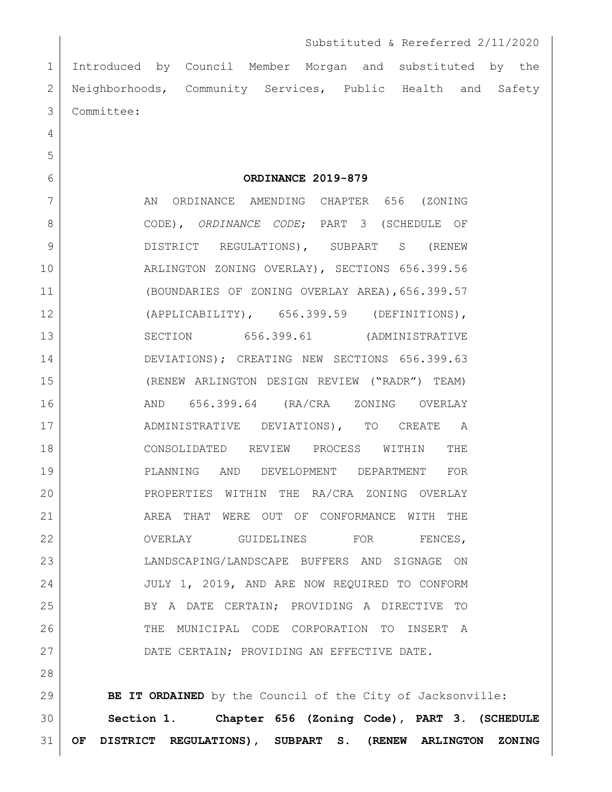Introduced by Council Member Morgan and substituted by the 2 Neighborhoods, Community Services, Public Health and Safety Committee:

**ORDINANCE 2019-879**

7 AN ORDINANCE AMENDING CHAPTER 656 (ZONING CODE), *ORDINANCE CODE*; PART 3 (SCHEDULE OF 9 DISTRICT REGULATIONS), SUBPART S (RENEW 10 | ARLINGTON ZONING OVERLAY), SECTIONS 656.399.56 (BOUNDARIES OF ZONING OVERLAY AREA),656.399.57 (APPLICABILITY), 656.399.59 (DEFINITIONS), 13 SECTION 656.399.61 (ADMINISTRATIVE 14 DEVIATIONS); CREATING NEW SECTIONS 656.399.63 (RENEW ARLINGTON DESIGN REVIEW ("RADR") TEAM) AND 656.399.64 (RA/CRA ZONING OVERLAY ADMINISTRATIVE DEVIATIONS), TO CREATE A CONSOLIDATED REVIEW PROCESS WITHIN THE PLANNING AND DEVELOPMENT DEPARTMENT FOR PROPERTIES WITHIN THE RA/CRA ZONING OVERLAY 21 AREA THAT WERE OUT OF CONFORMANCE WITH THE 22 OVERLAY GUIDELINES FOR FENCES, LANDSCAPING/LANDSCAPE BUFFERS AND SIGNAGE ON JULY 1, 2019, AND ARE NOW REQUIRED TO CONFORM 25 BY A DATE CERTAIN; PROVIDING A DIRECTIVE TO THE MUNICIPAL CODE CORPORATION TO INSERT A 27 DATE CERTAIN; PROVIDING AN EFFECTIVE DATE.

 **BE IT ORDAINED** by the Council of the City of Jacksonville: **Section 1. Chapter 656 (Zoning Code), PART 3. (SCHEDULE OF DISTRICT REGULATIONS), SUBPART S. (RENEW ARLINGTON ZONING**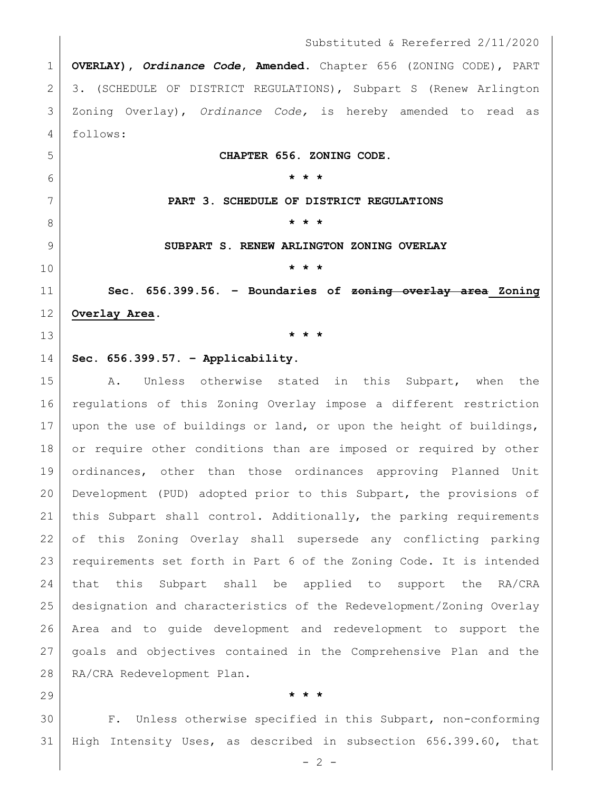**OVERLAY),** *Ordinance Code***, Amended.** Chapter 656 (ZONING CODE), PART 3. (SCHEDULE OF DISTRICT REGULATIONS), Subpart S (Renew Arlington Zoning Overlay), *Ordinance Code,* is hereby amended to read as follows:

**CHAPTER 656. ZONING CODE.**

**\* \* \***

**PART 3. SCHEDULE OF DISTRICT REGULATIONS**

**\* \* \***

**SUBPART S. RENEW ARLINGTON ZONING OVERLAY**

**\* \* \***

 **Sec. 656.399.56. – Boundaries of zoning overlay area Zoning Overlay Area.**

**\* \* \***

# **Sec. 656.399.57. – Applicability.**

15 A. Unless otherwise stated in this Subpart, when the regulations of this Zoning Overlay impose a different restriction upon the use of buildings or land, or upon the height of buildings, 18 or require other conditions than are imposed or required by other ordinances, other than those ordinances approving Planned Unit Development (PUD) adopted prior to this Subpart, the provisions of 21 | this Subpart shall control. Additionally, the parking requirements of this Zoning Overlay shall supersede any conflicting parking 23 requirements set forth in Part 6 of the Zoning Code. It is intended that this Subpart shall be applied to support the RA/CRA designation and characteristics of the Redevelopment/Zoning Overlay Area and to guide development and redevelopment to support the goals and objectives contained in the Comprehensive Plan and the 28 | RA/CRA Redevelopment Plan.

## **\* \* \***

 F. Unless otherwise specified in this Subpart, non-conforming High Intensity Uses, as described in subsection 656.399.60, that

 $- 2 -$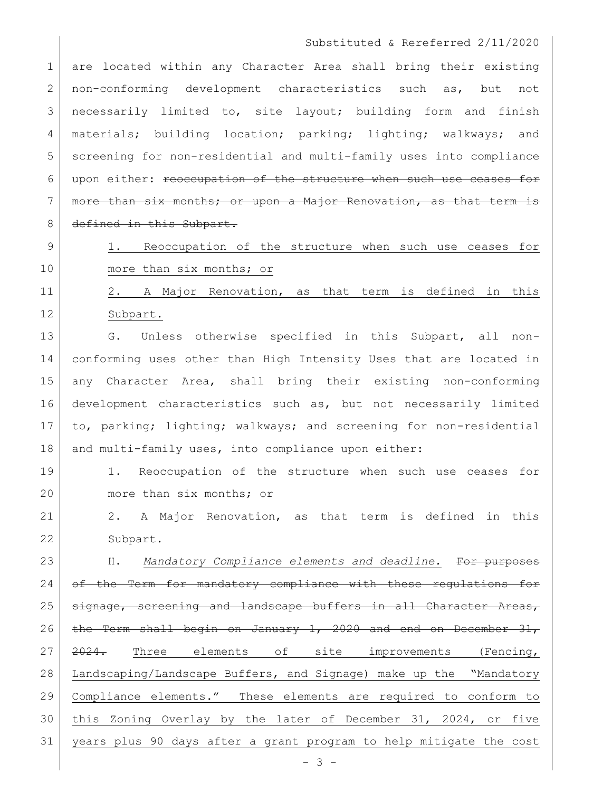1 are located within any Character Area shall bring their existing 2 | non-conforming development characteristics such as, but not 3 | necessarily limited to, site layout; building form and finish 4 | materials; building location; parking; lighting; walkways; and 5 screening for non-residential and multi-family uses into compliance 6 upon either: reoccupation of the structure when such use ceases for 7 | more than six months; or upon a Major Renovation, as that term is 8 defined in this Subpart.

9 1. Reoccupation of the structure when such use ceases for 10 more than six months; or

11 | 2. A Major Renovation, as that term is defined in this 12 Subpart.

13 G. Unless otherwise specified in this Subpart, all non-14 conforming uses other than High Intensity Uses that are located in 15 any Character Area, shall bring their existing non-conforming 16 development characteristics such as, but not necessarily limited 17 to, parking; lighting; walkways; and screening for non-residential 18 and multi-family uses, into compliance upon either:

19 1. Reoccupation of the structure when such use ceases for 20 more than six months; or

21 2. A Major Renovation, as that term is defined in this 22 Subpart.

23 H. *Mandatory Compliance elements and deadline.* For purposes 24 of the Term for mandatory compliance with these regulations for 25 signage, screening and landscape buffers in all Character Areas, 26 the Term shall begin on January 1, 2020 and end on December  $31$ , 27 2024. Three elements of site improvements (Fencing, 28 Landscaping/Landscape Buffers, and Signage) make up the "Mandatory 29 Compliance elements." These elements are required to conform to 30 this Zoning Overlay by the later of December 31, 2024, or five 31 years plus 90 days after a grant program to help mitigate the cost

 $- 3 -$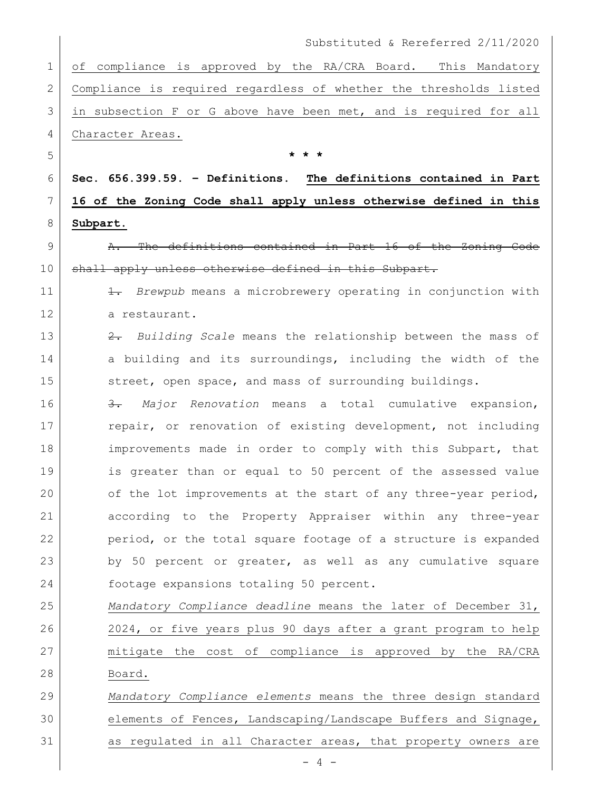of compliance is approved by the RA/CRA Board. This Mandatory Compliance is required regardless of whether the thresholds listed in subsection F or G above have been met, and is required for all 4 Character Areas.

6 **Sec. 656.399.59. – Definitions. The definitions contained in Part**  7 **16 of the Zoning Code shall apply unless otherwise defined in this** 8 **Subpart.**

5 **\* \* \***

9 **A.** The definitions contained in Part 16 of the Zoning Code 10 | shall apply unless otherwise defined in this Subpart.

11 1. *Brewpub* means a microbrewery operating in conjunction with 12 a restaurant.

13 2. *Building Scale* means the relationship between the mass of 14 a building and its surroundings, including the width of the 15 street, open space, and mass of surrounding buildings.

16 3. *Major Renovation* means a total cumulative expansion, 17 repair, or renovation of existing development, not including 18 improvements made in order to comply with this Subpart, that 19 is greater than or equal to 50 percent of the assessed value 20 of the lot improvements at the start of any three-year period, 21 according to the Property Appraiser within any three-year 22 period, or the total square footage of a structure is expanded 23 by 50 percent or greater, as well as any cumulative square 24 footage expansions totaling 50 percent.

 *Mandatory Compliance deadline* means the later of December 31, 2024, or five years plus 90 days after a grant program to help mitigate the cost of compliance is approved by the RA/CRA 28 Board.

29 *Mandatory Compliance elements* means the three design standard 30 elements of Fences, Landscaping/Landscape Buffers and Signage, 31 as regulated in all Character areas, that property owners are

 $- 4 -$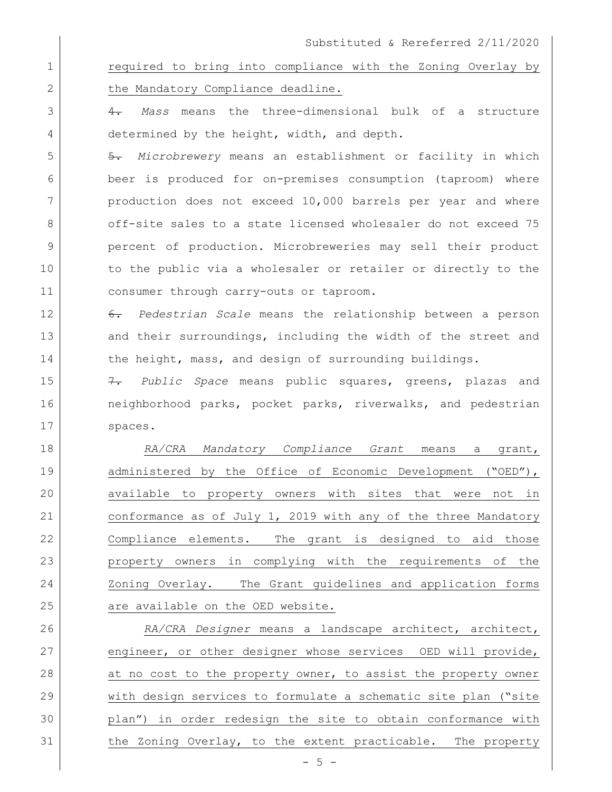1 **1** required to bring into compliance with the Zoning Overlay by 2 the Mandatory Compliance deadline.

3 4. *Mass* means the three-dimensional bulk of a structure 4 determined by the height, width, and depth.

5 5. *Microbrewery* means an establishment or facility in which 6 beer is produced for on-premises consumption (taproom) where 7 | production does not exceed 10,000 barrels per year and where 8 off-site sales to a state licensed wholesaler do not exceed 75 9 percent of production. Microbreweries may sell their product 10 to the public via a wholesaler or retailer or directly to the 11 consumer through carry-outs or taproom.

12 6. *Pedestrian Scale* means the relationship between a person 13 and their surroundings, including the width of the street and 14 the height, mass, and design of surrounding buildings.

15 7. *Public Space* means public squares, greens, plazas and 16 16 neighborhood parks, pocket parks, riverwalks, and pedestrian 17 spaces.

18 *RA/CRA Mandatory Compliance Grant* means a grant, 19 administered by the Office of Economic Development ("OED"), 20 available to property owners with sites that were not in 21 conformance as of July 1, 2019 with any of the three Mandatory 22 Compliance elements. The grant is designed to aid those 23 property owners in complying with the requirements of the 24 Zoning Overlay. The Grant guidelines and application forms 25 are available on the OED website.

 *RA/CRA Designer* means a landscape architect, architect, 27 engineer, or other designer whose services OED will provide, 28 at no cost to the property owner, to assist the property owner with design services to formulate a schematic site plan ("site plan") in order redesign the site to obtain conformance with the Zoning Overlay, to the extent practicable. The property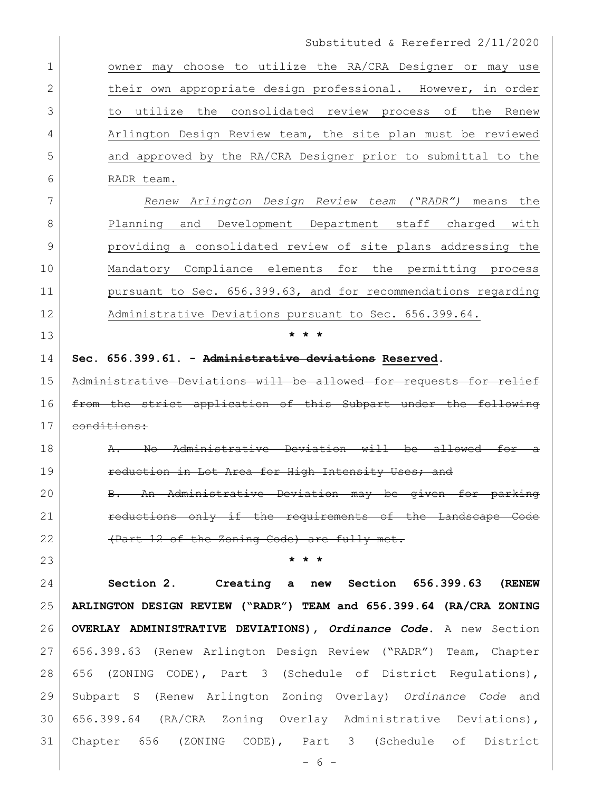1 owner may choose to utilize the RA/CRA Designer or may use 2 | their own appropriate design professional. However, in order to utilize the consolidated review process of the Renew 4 Arlington Design Review team, the site plan must be reviewed and approved by the RA/CRA Designer prior to submittal to the RADR team.

 *Renew Arlington Design Review team ("RADR")* means the Planning and Development Department staff charged with providing a consolidated review of site plans addressing the Mandatory Compliance elements for the permitting process **pursuant to Sec. 656.399.63, and for recommendations regarding** 12 Administrative Deviations pursuant to Sec. 656.399.64.

**Sec. 656.399.61. - Administrative deviations Reserved.** 

**\* \* \***

 Administrative Deviations will be allowed for requests for relief from the strict application of this Subpart under the following conditions:

18 A. No Administrative Deviation will be allowed for a 19 reduction in Lot Area for High Intensity Uses; and

20 B. An Administrative Deviation may be given for parking **reductions only if the requirements of the Landscape Code** 22 (Part 12 of the Zoning Code) are fully met.

**\* \* \***

 **Section 2. Creating a new Section 656.399.63 (RENEW ARLINGTON DESIGN REVIEW ("RADR") TEAM and 656.399.64 (RA/CRA ZONING OVERLAY ADMINISTRATIVE DEVIATIONS),** *Ordinance Code***.** A new Section 656.399.63 (Renew Arlington Design Review ("RADR") Team, Chapter 656 (ZONING CODE), Part 3 (Schedule of District Regulations), Subpart S (Renew Arlington Zoning Overlay) *Ordinance Code* and 656.399.64 (RA/CRA Zoning Overlay Administrative Deviations), Chapter 656 (ZONING CODE), Part 3 (Schedule of District

- 6 -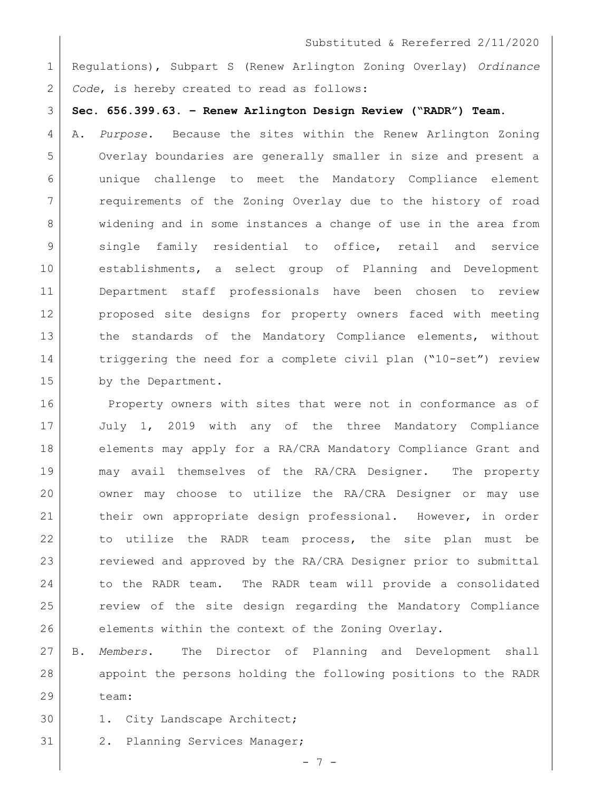1 Regulations), Subpart S (Renew Arlington Zoning Overlay) *Ordinance*  2 *Code*, is hereby created to read as follows:

3 **Sec. 656.399.63. – Renew Arlington Design Review ("RADR") Team.**

4 A. *Purpose.* Because the sites within the Renew Arlington Zoning 5 Overlay boundaries are generally smaller in size and present a 6 unique challenge to meet the Mandatory Compliance element 7 | requirements of the Zoning Overlay due to the history of road 8 widening and in some instances a change of use in the area from 9 single family residential to office, retail and service 10 establishments, a select group of Planning and Development 11 Department staff professionals have been chosen to review 12 | proposed site designs for property owners faced with meeting 13 the standards of the Mandatory Compliance elements, without 14 triggering the need for a complete civil plan ("10-set") review 15 by the Department.

16 Property owners with sites that were not in conformance as of 17 July 1, 2019 with any of the three Mandatory Compliance 18 elements may apply for a RA/CRA Mandatory Compliance Grant and 19 may avail themselves of the RA/CRA Designer. The property 20 owner may choose to utilize the RA/CRA Designer or may use 21 | their own appropriate design professional. However, in order 22 to utilize the RADR team process, the site plan must be 23 reviewed and approved by the RA/CRA Designer prior to submittal 24 to the RADR team. The RADR team will provide a consolidated 25 | review of the site design regarding the Mandatory Compliance 26 elements within the context of the Zoning Overlay.

27 B. *Members*. The Director of Planning and Development shall 28 appoint the persons holding the following positions to the RADR 29 team:

- 30 1. City Landscape Architect;
- 31 2. Planning Services Manager;

 $- 7 -$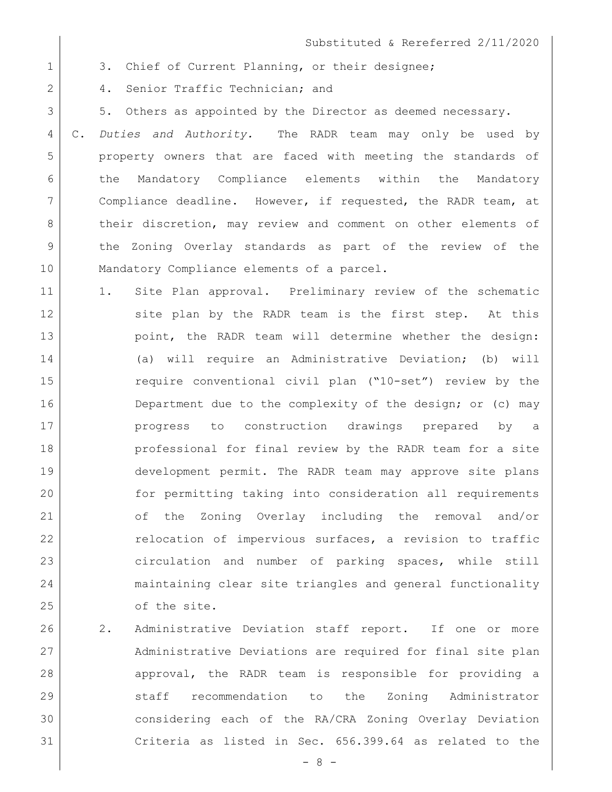1 3. Chief of Current Planning, or their designee;

2 4. Senior Traffic Technician; and

3 5. Others as appointed by the Director as deemed necessary.

 C. *Duties and Authority.* The RADR team may only be used by property owners that are faced with meeting the standards of the Mandatory Compliance elements within the Mandatory Compliance deadline. However, if requested, the RADR team, at 8 | their discretion, may review and comment on other elements of the Zoning Overlay standards as part of the review of the 10 | Mandatory Compliance elements of a parcel.

- 11 1. Site Plan approval. Preliminary review of the schematic 12 site plan by the RADR team is the first step. At this 13 point, the RADR team will determine whether the design: 14 (a) will require an Administrative Deviation; (b) will 15 require conventional civil plan ("10-set") review by the 16 Department due to the complexity of the design; or (c) may 17 progress to construction drawings prepared by a 18 professional for final review by the RADR team for a site 19 development permit. The RADR team may approve site plans 20 for permitting taking into consideration all requirements 21 of the Zoning Overlay including the removal and/or 22 relocation of impervious surfaces, a revision to traffic 23 circulation and number of parking spaces, while still 24 maintaining clear site triangles and general functionality 25 of the site.
- 26 2. Administrative Deviation staff report. If one or more 27 Administrative Deviations are required for final site plan 28 approval, the RADR team is responsible for providing a 29 staff recommendation to the Zoning Administrator 30 considering each of the RA/CRA Zoning Overlay Deviation 31 Criteria as listed in Sec. 656.399.64 as related to the

 $- 8 -$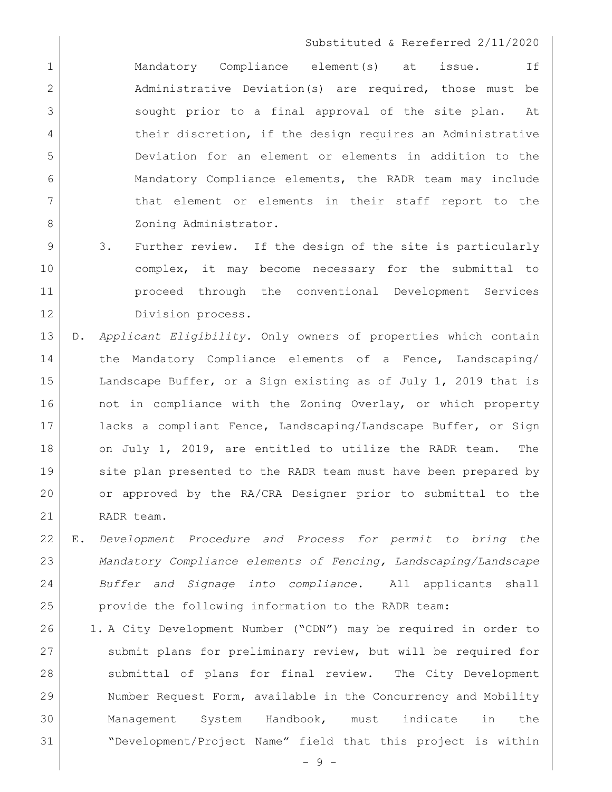1 1 Mandatory Compliance element(s) at issue. If 2 Administrative Deviation(s) are required, those must be 3 Sought prior to a final approval of the site plan. At 4 their discretion, if the design requires an Administrative 5 Deviation for an element or elements in addition to the 6 Mandatory Compliance elements, the RADR team may include 7 | that element or elements in their staff report to the 8 Zoning Administrator.

- 9 3. Further review. If the design of the site is particularly 10 complex, it may become necessary for the submittal to 11 proceed through the conventional Development Services 12 Division process.
- 13 D. *Applicant Eligibility.* Only owners of properties which contain 14 the Mandatory Compliance elements of a Fence, Landscaping/ 15 Landscape Buffer, or a Sign existing as of July 1, 2019 that is 16 | not in compliance with the Zoning Overlay, or which property 17 lacks a compliant Fence, Landscaping/Landscape Buffer, or Sign 18 on July 1, 2019, are entitled to utilize the RADR team. The 19 site plan presented to the RADR team must have been prepared by 20 or approved by the RA/CRA Designer prior to submittal to the 21 RADR team.
- 22 E. *Development Procedure and Process for permit to bring the*  23 *Mandatory Compliance elements of Fencing, Landscaping/Landscape*  24 *Buffer and Signage into compliance*. All applicants shall 25 provide the following information to the RADR team:
- 26 1. A City Development Number ("CDN") may be required in order to 27 Submit plans for preliminary review, but will be required for 28 Submittal of plans for final review. The City Development 29 Number Request Form, available in the Concurrency and Mobility 30 Management System Handbook, must indicate in the 31 "Development/Project Name" field that this project is within

- 9 -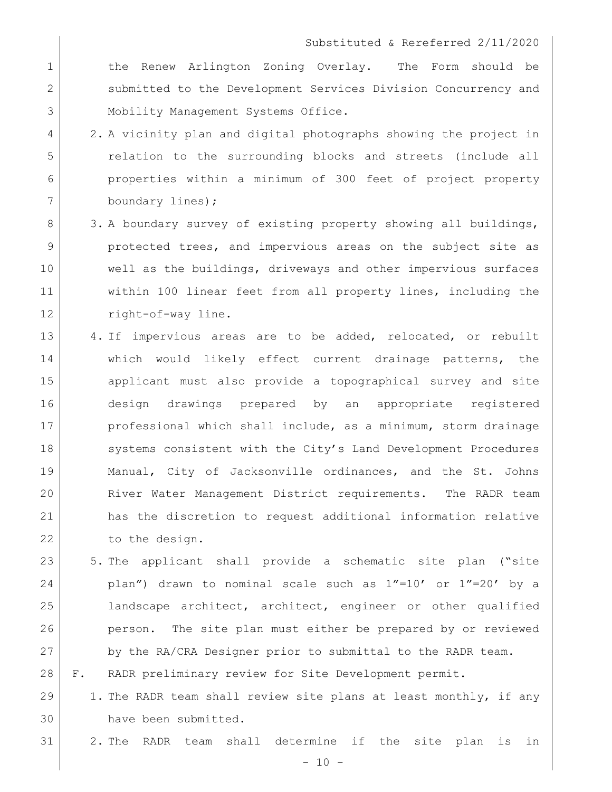1 1 the Renew Arlington Zoning Overlay. The Form should be 2 submitted to the Development Services Division Concurrency and 3 Mobility Management Systems Office.

- 4 2. A vicinity plan and digital photographs showing the project in 5 relation to the surrounding blocks and streets (include all 6 properties within a minimum of 300 feet of project property 7 boundary lines);
- 8 3. A boundary survey of existing property showing all buildings, 9 protected trees, and impervious areas on the subject site as 10 well as the buildings, driveways and other impervious surfaces 11 within 100 linear feet from all property lines, including the 12 right-of-way line.
- 13 4. If impervious areas are to be added, relocated, or rebuilt 14 and which would likely effect current drainage patterns, the 15 applicant must also provide a topographical survey and site 16 design drawings prepared by an appropriate registered 17 professional which shall include, as a minimum, storm drainage 18 Systems consistent with the City's Land Development Procedures 19 Manual, City of Jacksonville ordinances, and the St. Johns 20 River Water Management District requirements. The RADR team 21 has the discretion to request additional information relative 22 to the design.
- 23 5. The applicant shall provide a schematic site plan ("site 24 plan") drawn to nominal scale such as 1"=10' or 1"=20' by a 25 | landscape architect, architect, engineer or other qualified 26 person. The site plan must either be prepared by or reviewed 27 by the RA/CRA Designer prior to submittal to the RADR team.
- 28 F. RADR preliminary review for Site Development permit.
- 29 1. The RADR team shall review site plans at least monthly, if any 30 have been submitted.
- 31 2. The RADR team shall determine if the site plan is in

 $- 10 -$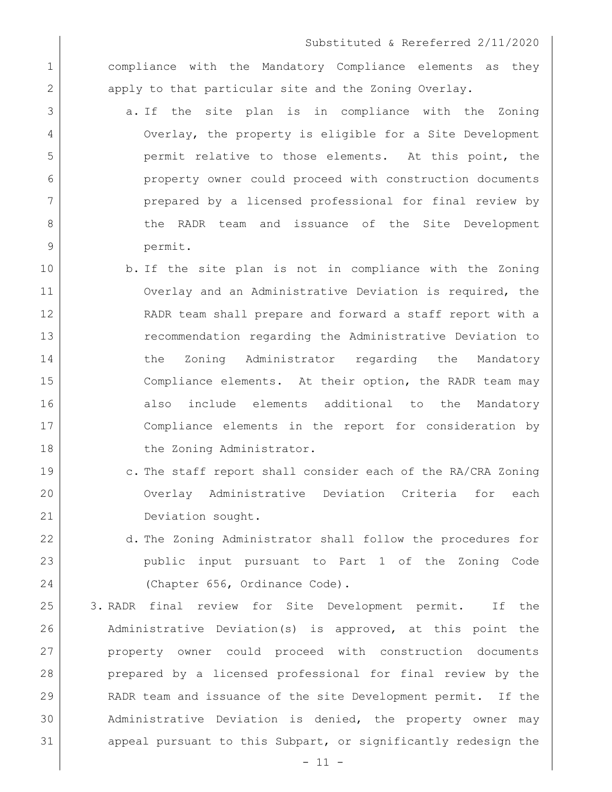1 compliance with the Mandatory Compliance elements as they 2 apply to that particular site and the Zoning Overlay.

- 3 a. If the site plan is in compliance with the Zoning 4 Overlay, the property is eligible for a Site Development 5 permit relative to those elements. At this point, the 6 property owner could proceed with construction documents 7 prepared by a licensed professional for final review by 8 b 6 the RADR team and issuance of the Site Development 9 permit.
- 10 b. If the site plan is not in compliance with the Zoning 11 Overlay and an Administrative Deviation is required, the 12 RADR team shall prepare and forward a staff report with a 13 recommendation regarding the Administrative Deviation to 14 the Zoning Administrator regarding the Mandatory 15 Compliance elements. At their option, the RADR team may 16 also include elements additional to the Mandatory 17 Compliance elements in the report for consideration by 18 the Zoning Administrator.
- 19 c. The staff report shall consider each of the RA/CRA Zoning 20 Overlay Administrative Deviation Criteria for each 21 Deviation sought.
- 22 d. The Zoning Administrator shall follow the procedures for 23 public input pursuant to Part 1 of the Zoning Code 24 (Chapter 656, Ordinance Code).
- 25 3. RADR final review for Site Development permit. If the 26 Administrative Deviation(s) is approved, at this point the 27 property owner could proceed with construction documents 28 prepared by a licensed professional for final review by the 29 RADR team and issuance of the site Development permit. If the 30 Administrative Deviation is denied, the property owner may 31 appeal pursuant to this Subpart, or significantly redesign the

 $- 11 -$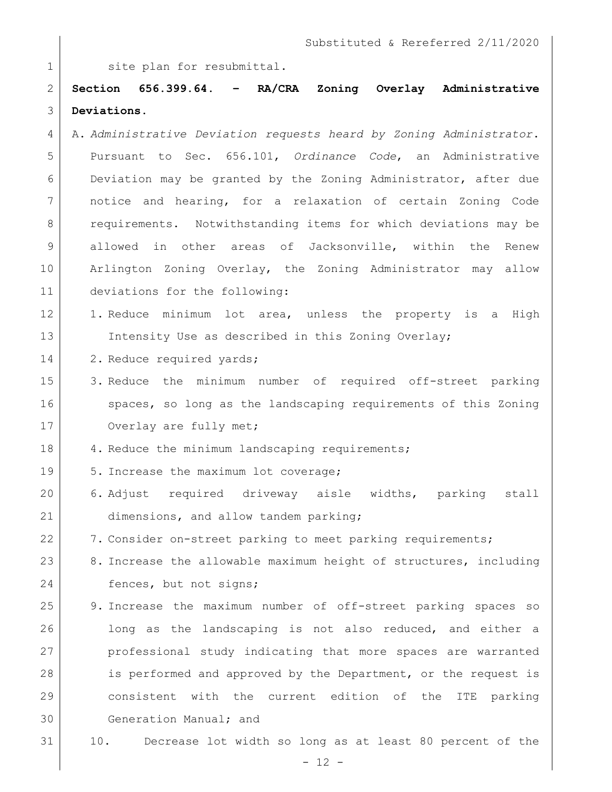1 Site plan for resubmittal.

2 **Section 656.399.64. – RA/CRA Zoning Overlay Administrative**  3 **Deviations.** 

- 4 A. *Administrative Deviation requests heard by Zoning Administrator*. 5 Pursuant to Sec. 656.101, *Ordinance Code*, an Administrative 6 Deviation may be granted by the Zoning Administrator, after due 7 notice and hearing, for a relaxation of certain Zoning Code 8 | requirements. Notwithstanding items for which deviations may be 9 allowed in other areas of Jacksonville, within the Renew 10 Arlington Zoning Overlay, the Zoning Administrator may allow 11 deviations for the following:
- 12 1. Reduce minimum lot area, unless the property is a High 13 Intensity Use as described in this Zoning Overlay;
- 14 2. Reduce required yards;
- 15 3. Reduce the minimum number of required off-street parking 16 | spaces, so long as the landscaping requirements of this Zoning 17 Overlay are fully met;
- 18 4. Reduce the minimum landscaping requirements;
- 19 5. Increase the maximum lot coverage;
- 20 6. Adjust required driveway aisle widths, parking stall 21 dimensions, and allow tandem parking;
- 22 7. Consider on-street parking to meet parking requirements;
- 23 8. Increase the allowable maximum height of structures, including 24 fences, but not signs;
- 25 9. Increase the maximum number of off-street parking spaces so 26 long as the landscaping is not also reduced, and either a 27 professional study indicating that more spaces are warranted 28 is performed and approved by the Department, or the request is 29 consistent with the current edition of the ITE parking 30 Generation Manual; and
- 31 10. Decrease lot width so long as at least 80 percent of the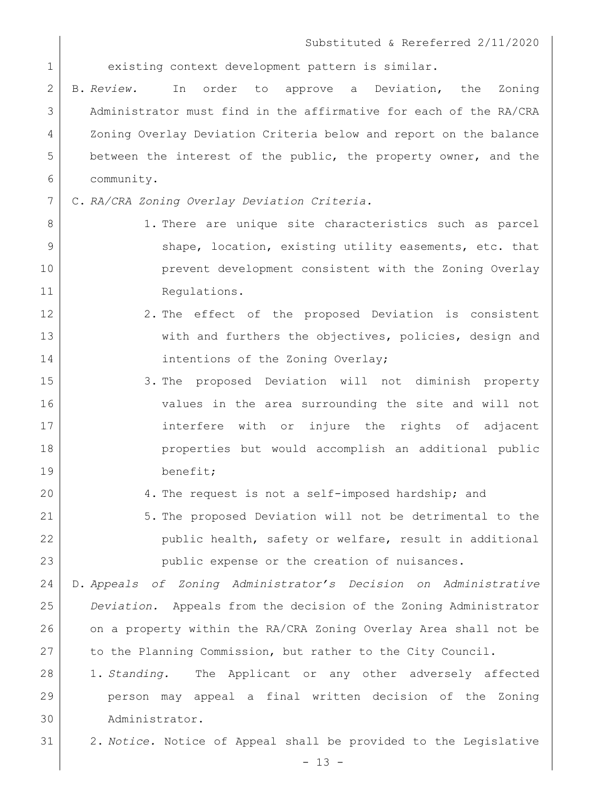existing context development pattern is similar.

 B. *Review.* In order to approve a Deviation, the Zoning Administrator must find in the affirmative for each of the RA/CRA Zoning Overlay Deviation Criteria below and report on the balance between the interest of the public, the property owner, and the community.

C. *RA/CRA Zoning Overlay Deviation Criteria.*

8 1. There are unique site characteristics such as parcel 9 Shape, location, existing utility easements, etc. that **prevent development consistent with the Zoning Overlay** 11 Regulations.

- 12 2. The effect of the proposed Deviation is consistent 13 with and furthers the objectives, policies, design and 14 intentions of the Zoning Overlay;
- 15 3. The proposed Deviation will not diminish property values in the area surrounding the site and will not 17 interfere with or injure the rights of adjacent 18 properties but would accomplish an additional public benefit;
- 4. The request is not a self-imposed hardship; and
- 5. The proposed Deviation will not be detrimental to the 22 | public health, safety or welfare, result in additional public expense or the creation of nuisances.

 D. *Appeals of Zoning Administrator's Decision on Administrative Deviation.* Appeals from the decision of the Zoning Administrator on a property within the RA/CRA Zoning Overlay Area shall not be 27 to the Planning Commission, but rather to the City Council.

- 1. *Standing.* The Applicant or any other adversely affected person may appeal a final written decision of the Zoning Administrator.
- 2. *Notice.* Notice of Appeal shall be provided to the Legislative

 $- 13 -$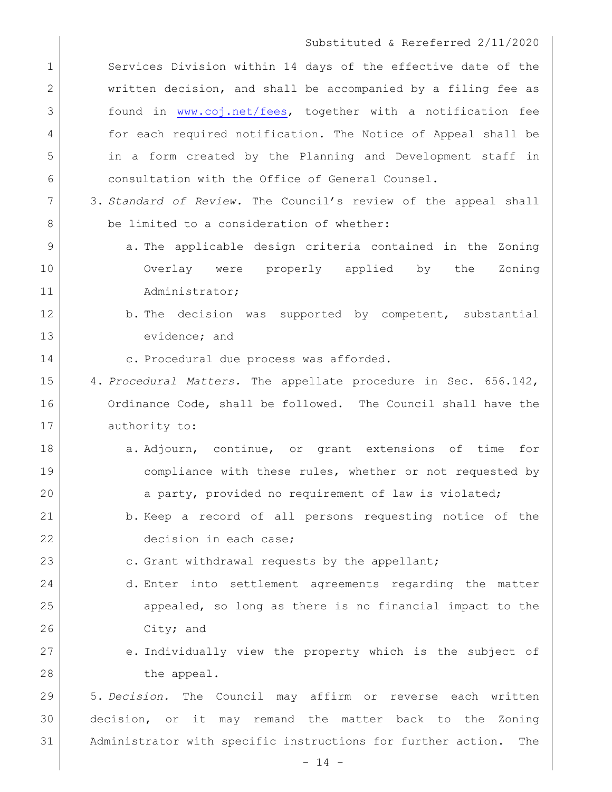1 Services Division within 14 days of the effective date of the 2 written decision, and shall be accompanied by a filing fee as 3 found in [www.coj.net/fees,](http://www.coj.net/fees) together with a notification fee 4 for each required notification. The Notice of Appeal shall be 5 in a form created by the Planning and Development staff in 6 consultation with the Office of General Counsel.

- 7 3. *Standard of Review.* The Council's review of the appeal shall 8 be limited to a consideration of whether:
- 9 **a.** The applicable design criteria contained in the Zoning 10 Overlay were properly applied by the Zoning 11 Administrator;
- 12 b. The decision was supported by competent, substantial 13 evidence; and
- 14 c. Procedural due process was afforded.

15 4. *Procedural Matters.* The appellate procedure in Sec. 656.142, 16 Ordinance Code, shall be followed. The Council shall have the 17 authority to:

- 18 a. Adjourn, continue, or grant extensions of time for 19 compliance with these rules, whether or not requested by 20 a party, provided no requirement of law is violated;
- 21 b. Keep a record of all persons requesting notice of the 22 decision in each case;
- 23 c. Grant withdrawal requests by the appellant;
- 24 d. Enter into settlement agreements regarding the matter 25 appealed, so long as there is no financial impact to the 26 City; and
- 27 e. Individually view the property which is the subject of 28 the appeal.

29 5. *Decision.* The Council may affirm or reverse each written 30 decision, or it may remand the matter back to the Zoning 31 Administrator with specific instructions for further action. The

 $- 14 -$